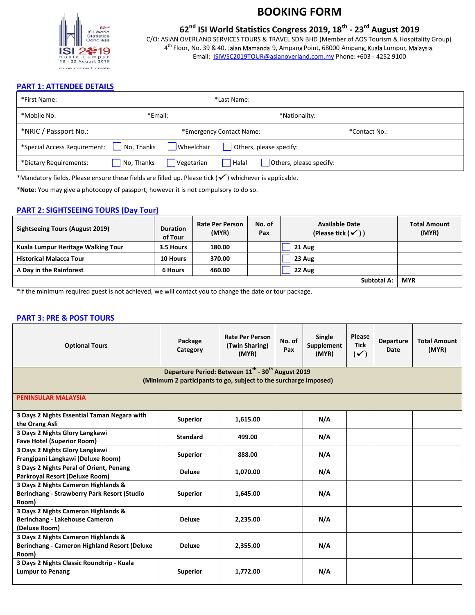

## **62nd ISI World Statistics Congress 2019, 18th - 23rd August 2019**

C/O: ASIAN OVERLAND SERVICES TOURS & TRAVEL SDN BHD (Member of AOS Tourism & Hospitality Group) 4<sup>th</sup> Floor, No. 39 & 40, Jalan Mamanda 9, Ampang Point, 68000 Ampang, Kuala Lumpur, Email: [ISIWSC2019TOUR@asianoverland.com.my](mailto:ISIWSC2019TOUR@asianoverland.com.my) Phone: +603 - 4252 9100

### **PART 1: ATTENDEE DETAILS**

| *First Name:                              | *Last Name:               |                          |                          |                         |  |  |
|-------------------------------------------|---------------------------|--------------------------|--------------------------|-------------------------|--|--|
| *Mobile No:                               |                           | *Email:<br>*Nationality: |                          |                         |  |  |
| *NRIC / Passport No.:                     |                           |                          | *Emergency Contact Name: | *Contact No.:           |  |  |
| *Special Access Requirement:   No, Thanks |                           | Wheelchair               |                          | Others, please specify: |  |  |
| *Dietary Requirements:                    | $\blacksquare$ No, Thanks | Vegetarian               | Halal                    | Others, please specify: |  |  |

\*Mandatory fields. Please ensure these fields are filled up. Please tick ( $\checkmark$ ) whichever is applicable.

\***Note**: You may give a photocopy of passport; however it is not compulsory to do so.

### **PART 2: SIGHTSEEING TOURS (Day Tour)**

| <b>Sightseeing Tours (August 2019)</b> | <b>Duration</b><br>of Tour | <b>Rate Per Person</b><br>(MYR) | No. of<br>Pax | <b>Available Date</b><br>(Please tick $(\checkmark)$ ) | <b>Total Amount</b><br>(MYR) |
|----------------------------------------|----------------------------|---------------------------------|---------------|--------------------------------------------------------|------------------------------|
| Kuala Lumpur Heritage Walking Tour     | 3.5 Hours                  | 180.00                          |               | 21 Aug                                                 |                              |
| <b>Historical Malacca Tour</b>         | 10 Hours                   | 370.00                          |               | 23 Aug                                                 |                              |
| A Day in the Rainforest                | 6 Hours                    | 460.00                          |               | 22 Aug                                                 |                              |
|                                        |                            |                                 |               | <b>Subtotal A:</b>                                     | <b>MYR</b>                   |

\*If the minimum required guest is not achieved, we will contact you to change the date or tour package.

### **PART 3: PRE & POST TOURS**

| <b>Optional Tours</b>                                                                                                                         | Package<br>Category | <b>Rate Per Person</b><br>(Twin Sharing)<br>(MYR) | No. of<br>Pax | Single<br>Supplement<br>(MYR) | Please<br><b>Tick</b><br>$(\checkmark)$ | <b>Departure</b><br>Date | <b>Total Amount</b><br>(MYR) |
|-----------------------------------------------------------------------------------------------------------------------------------------------|---------------------|---------------------------------------------------|---------------|-------------------------------|-----------------------------------------|--------------------------|------------------------------|
| Departure Period: Between 11 <sup>th</sup> - 30 <sup>th</sup> August 2019<br>(Minimum 2 participants to go, subject to the surcharge imposed) |                     |                                                   |               |                               |                                         |                          |                              |
| <b>PENINSULAR MALAYSIA</b>                                                                                                                    |                     |                                                   |               |                               |                                         |                          |                              |
| 3 Days 2 Nights Essential Taman Negara with<br>the Orang Asli                                                                                 | <b>Superior</b>     | 1,615.00                                          |               | N/A                           |                                         |                          |                              |
| 3 Days 2 Nights Glory Langkawi<br><b>Fave Hotel (Superior Room)</b>                                                                           | <b>Standard</b>     | 499.00                                            |               | N/A                           |                                         |                          |                              |
| 3 Days 2 Nights Glory Langkawi<br>Frangipani Langkawi (Deluxe Room)                                                                           | <b>Superior</b>     | 888.00                                            |               | N/A                           |                                         |                          |                              |
| 3 Days 2 Nights Peral of Orient, Penang<br>Parkroyal Resort (Deluxe Room)                                                                     | <b>Deluxe</b>       | 1,070.00                                          |               | N/A                           |                                         |                          |                              |
| 3 Days 2 Nights Cameron Highlands &<br>Berinchang - Strawberry Park Resort (Studio<br>Room)                                                   | <b>Superior</b>     | 1.645.00                                          |               | N/A                           |                                         |                          |                              |
| 3 Days 2 Nights Cameron Highlands &<br>Berinchang - Lakehouse Cameron<br>(Deluxe Room)                                                        | <b>Deluxe</b>       | 2,235.00                                          |               | N/A                           |                                         |                          |                              |
| 3 Days 2 Nights Cameron Highlands &<br><b>Berinchang - Cameron Highland Resort (Deluxe</b><br>Room)                                           | <b>Deluxe</b>       | 2,355.00                                          |               | N/A                           |                                         |                          |                              |
| 3 Days 2 Nights Classic Roundtrip - Kuala<br><b>Lumpur to Penang</b>                                                                          | <b>Superior</b>     | 1,772.00                                          |               | N/A                           |                                         |                          |                              |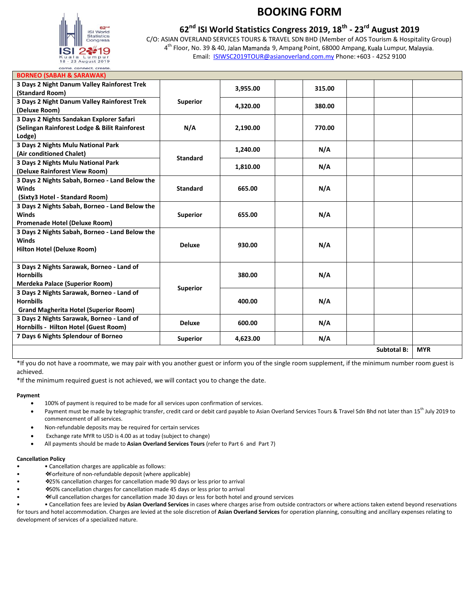

## **62nd ISI World Statistics Congress 2019, 18th - 23rd August 2019**

C/O: ASIAN OVERLAND SERVICES TOURS & TRAVEL SDN BHD (Member of AOS Tourism & Hospitality Group) 4<sup>th</sup> Floor, No. 39 & 40, Jalan Mamanda 9, Ampang Point, 68000 Ampang, Kuala Lumpur, Email: **ISIWSC2019TOUR@asianoverland.com.my** Phone: +603 - 4252 9100

| <b>BORNEO (SABAH &amp; SARAWAK)</b>                                                                           |                 |          |        |                    |            |
|---------------------------------------------------------------------------------------------------------------|-----------------|----------|--------|--------------------|------------|
| 3 Days 2 Night Danum Valley Rainforest Trek<br>(Standard Room)                                                |                 | 3.955.00 | 315.00 |                    |            |
| 3 Days 2 Night Danum Valley Rainforest Trek<br>(Deluxe Room)                                                  | <b>Superior</b> | 4.320.00 | 380.00 |                    |            |
| 3 Days 2 Nights Sandakan Explorer Safari<br>(Selingan Rainforest Lodge & Bilit Rainforest<br>Lodge)           | N/A             | 2,190.00 | 770.00 |                    |            |
| 3 Days 2 Nights Mulu National Park<br>(Air conditioned Chalet)                                                |                 | 1,240.00 | N/A    |                    |            |
| 3 Days 2 Nights Mulu National Park<br>(Deluxe Rainforest View Room)                                           | <b>Standard</b> | 1,810.00 | N/A    |                    |            |
| 3 Days 2 Nights Sabah, Borneo - Land Below the<br><b>Winds</b><br>(Sixty3 Hotel - Standard Room)              | <b>Standard</b> | 665.00   | N/A    |                    |            |
| 3 Days 2 Nights Sabah, Borneo - Land Below the<br><b>Winds</b><br>Promenade Hotel (Deluxe Room)               | <b>Superior</b> | 655.00   | N/A    |                    |            |
| 3 Days 2 Nights Sabah, Borneo - Land Below the<br><b>Winds</b><br>Hilton Hotel (Deluxe Room)                  | <b>Deluxe</b>   | 930.00   | N/A    |                    |            |
| 3 Days 2 Nights Sarawak, Borneo - Land of<br><b>Hornbills</b><br><b>Merdeka Palace (Superior Room)</b>        |                 | 380.00   | N/A    |                    |            |
| 3 Days 2 Nights Sarawak, Borneo - Land of<br><b>Hornbills</b><br><b>Grand Magherita Hotel (Superior Room)</b> | <b>Superior</b> | 400.00   | N/A    |                    |            |
| 3 Days 2 Nights Sarawak, Borneo - Land of<br>Hornbills - Hilton Hotel (Guest Room)                            | <b>Deluxe</b>   | 600.00   | N/A    |                    |            |
| 7 Days 6 Nights Splendour of Borneo                                                                           | <b>Superior</b> | 4,623.00 | N/A    |                    |            |
|                                                                                                               |                 |          |        | <b>Subtotal B:</b> | <b>MYR</b> |

\*If you do not have a roommate, we may pair with you another guest or inform you of the single room supplement, if the minimum number room guest is achieved.

\*If the minimum required guest is not achieved, we will contact you to change the date.

### **Payment**

- 100% of payment is required to be made for all services upon confirmation of services.
- Payment must be made by telegraphic transfer, credit card or debit card payable to Asian Overland Services Tours & Travel Sdn Bhd not later than 15<sup>th</sup> July 2019 to commencement of all services.
- Non-refundable deposits may be required for certain services
- Exchange rate MYR to USD is 4.00 as at today (subject to change)
- All payments should be made to **Asian Overland Services Tours** (refer to Part 6 and Part 7)

#### **Cancellation Policy**

- • Cancellation charges are applicable as follows:
- ❖Forfeiture of non-refundable deposit (where applicable)
- ❖25% cancellation charges for cancellation made 90 days or less prior to arrival
- ❖50% cancellation charges for cancellation made 45 days or less prior to arrival
- ❖Full cancellation charges for cancellation made 30 days or less for both hotel and ground services

• • Cancellation fees are levied by **Asian Overland Services** in cases where charges arise from outside contractors or where actions taken extend beyond reservations for tours and hotel accommodation. Charges are levied at the sole discretion of **Asian Overland Services** for operation planning, consulting and ancillary expenses relating to development of services of a specialized nature.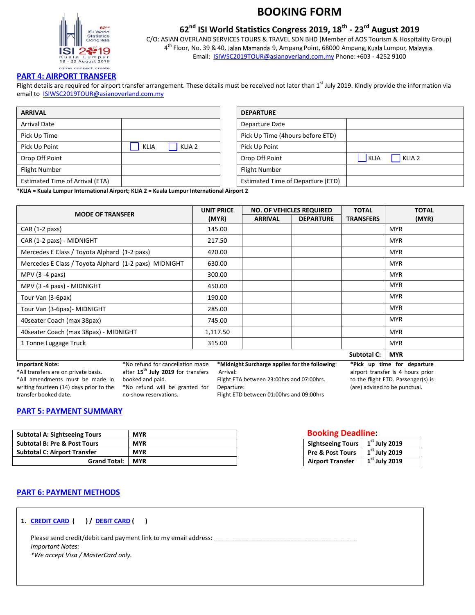

## **62nd ISI World Statistics Congress 2019, 18th - 23rd August 2019**

C/O: ASIAN OVERLAND SERVICES TOURS & TRAVEL SDN BHD (Member of AOS Tourism & Hospitality Group) 4<sup>th</sup> Floor, No. 39 & 40, Jalan Mamanda 9, Ampang Point, 68000 Ampang, Kuala Lumpur, Email: **ISIWSC2019TOUR@asianoverland.com.my** Phone: +603 - 4252 9100

### **PART 4: AIRPORT TRANSFER**

Flight details are required for airport transfer arrangement. These details must be received not later than 1<sup>st</sup> July 2019. Kindly provide the information via email to **ISIWSC2019TOUR@asianoverland.com.my** 

| <b>ARRIVAL</b>                  |                                  | <b>DEPARTURE</b>                            |
|---------------------------------|----------------------------------|---------------------------------------------|
| <b>Arrival Date</b>             |                                  | Departure Date                              |
| Pick Up Time                    |                                  | Pick Up Time (4hours before ETD)            |
| Pick Up Point                   | <b>KLIA</b><br>KLIA <sub>2</sub> | Pick Up Point                               |
| Drop Off Point                  |                                  | KLIA <sub>2</sub><br>Drop Off Point<br>KLIA |
| Flight Number                   |                                  | <b>Flight Number</b>                        |
| Estimated Time of Arrival (ETA) |                                  | Estimated Time of Departure (ETD)           |

| <b>DEPARTURE</b>                  |                                  |
|-----------------------------------|----------------------------------|
| Departure Date                    |                                  |
| Pick Up Time (4hours before ETD)  |                                  |
| Pick Up Point                     |                                  |
| Drop Off Point                    | KLIA <sub>2</sub><br><b>KLIA</b> |
| <b>Flight Number</b>              |                                  |
| Estimated Time of Departure (ETD) |                                  |

**\*KLIA = Kuala Lumpur International Airport; KLIA 2 = Kuala Lumpur International Airport 2** 

| <b>MODE OF TRANSFER</b>                               | <b>UNIT PRICE</b> |                | <b>NO. OF VEHICLES REQUIRED</b> | <b>TOTAL</b>     | <b>TOTAL</b> |  |
|-------------------------------------------------------|-------------------|----------------|---------------------------------|------------------|--------------|--|
|                                                       | (MYR)             | <b>ARRIVAL</b> | <b>DEPARTURE</b>                | <b>TRANSFERS</b> | (MYR)        |  |
| $CAR (1-2 paxs)$                                      | 145.00            |                |                                 |                  | <b>MYR</b>   |  |
| CAR (1-2 paxs) - MIDNIGHT                             | 217.50            |                |                                 |                  | <b>MYR</b>   |  |
| Mercedes E Class / Toyota Alphard (1-2 paxs)          | 420.00            |                |                                 |                  | <b>MYR</b>   |  |
| Mercedes E Class / Toyota Alphard (1-2 paxs) MIDNIGHT | 630.00            |                |                                 |                  | <b>MYR</b>   |  |
| MPV $(3 - 4$ paxs)                                    | 300.00            |                |                                 |                  | <b>MYR</b>   |  |
| MPV (3 -4 paxs) - MIDNIGHT                            | 450.00            |                |                                 |                  | <b>MYR</b>   |  |
| Tour Van (3-6pax)                                     | 190.00            |                |                                 |                  | <b>MYR</b>   |  |
| Tour Van (3-6pax)- MIDNIGHT                           | 285.00            |                |                                 |                  | <b>MYR</b>   |  |
| 40 seater Coach (max 38 pax)                          | 745.00            |                |                                 |                  | <b>MYR</b>   |  |
| 40 seater Coach (max 38 pax) - MIDNIGHT               | 1,117.50          |                |                                 |                  | <b>MYR</b>   |  |
| 1 Tonne Luggage Truck                                 | 315.00            |                |                                 |                  | <b>MYR</b>   |  |
|                                                       |                   |                |                                 | Subtotal C:      | <b>MYR</b>   |  |

#### **Important Note:**

\*All transfers are on private basis. \*All amendments must be made in writing fourteen (14) days prior to the transfer booked date.

\*No refund for cancellation made after **15th July 2019** for transfers booked and paid. \*No refund will be granted for no-show reservations.

**\*Midnight Surcharge applies for the following**: Arrival:

Flight ETA between 23:00hrs and 07:00hrs.

**\*Pick up time for departure** airport transfer is 4 hours prior to the flight ETD. Passenger(s) is (are) advised to be punctual.

Departure: Flight ETD between 01:00hrs and 09:00hrs

### **PART 5: PAYMENT SUMMARY**

| <b>Subtotal A: Sightseeing Tours</b>    | <b>MYR</b> |
|-----------------------------------------|------------|
| <b>Subtotal B: Pre &amp; Post Tours</b> | <b>MYR</b> |
| <b>Subtotal C: Airport Transfer</b>     | <b>MYR</b> |
| <b>Grand Total:</b>                     | <b>MYR</b> |

## **Booking Deadline:**

| Sightseeing Tours   1st July 2019 |                                    |
|-----------------------------------|------------------------------------|
| Pre & Post Tours                  | $\sqrt{1}$ <sup>st</sup> July 2019 |
| <b>Airport Transfer</b>           | $\overline{1}^{\rm st}$ July 2019  |

### **PART 6: PAYMENT METHODS**

**1. CREDIT CARD ( ) / DEBIT CARD ( )**

Please send credit/debit card payment link to my email address: \_\_ *Important Notes: \*We accept Visa / MasterCard only.*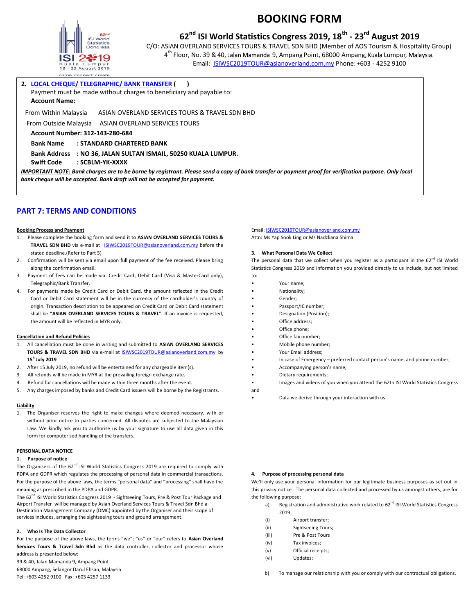

## **62nd ISI World Statistics Congress 2019, 18th - 23rd August 2019**

C/O: ASIAN OVERLAND SERVICES TOURS & TRAVEL SDN BHD (Member of AOS Tourism & Hospitality Group) 4<sup>th</sup> Floor, No. 39 & 40, Jalan Mamanda 9, Ampang Point, 68000 Ampang, Kuala Lumpur, Email: [ISIWSC2019TOUR@asianoverland.com.my](mailto:ISIWSC2019TOUR@asianoverland.com.my) Phone: +603 - 4252 9100

#### **2. LOCAL CHEQUE/ TELEGRAPHIC/ BANK TRANSFER ( )**

Payment must be made without charges to beneficiary and payable to:

**Account Name:** 

From Within Malaysia ASIAN OVERLAND SERVICES TOURS & TRAVEL SDN BHD

From Outside Malaysia ASIAN OVERLAND SERVICES TOURS

**Account Number: 312-143-280-684**

**Bank Name : STANDARD CHARTERED BANK**

**Bank Address : NO 36, JALAN SULTAN ISMAIL, 50250 KUALA LUMPUR.**

**Swift Code : SCBLM-YK-XXXX**

*IMPORTANT NOTE: Bank charges are to be borne by registrant. Please send a copy of bank transfer or payment proof for verification purpose. Only local bank cheque will be accepted. Bank draft will not be accepted for payment.*

### **PART 7: TERMS AND CONDITIONS**

#### **Booking Process and Payment**

- 1. Please complete the booking form and send it to **ASIAN OVERLAND SERVICES TOURS & TRAVEL SDN BHD** via e-mail a[t ISIWSC2019TOUR@asianoverland.com.my](mailto:ISIWSC2019@asianoverland.com.my) before the stated deadline.(Refer to Part 5)
- 2. Confirmation will be sent via email upon full payment of the fee received. Please bring along the confirmation email.
- 3. Payment of fees can be made via: Credit Card, Debit Card (Visa & MasterCard only), Telegraphic/Bank Transfer.
- 4. For payments made by Credit Card or Debit Card, the amount reflected in the Credit Card or Debit Card statement will be in the currency of the cardholder's country of origin. Transaction description to be appeared on Credit Card or Debit Card statement shall be "**ASIAN OVERLAND SERVICES TOURS & TRAVEL**". If an invoice is requested, the amount will be reflected in MYR only.

#### **Cancellation and Refund Policies**

- 1. All cancellation must be done in writing and submitted to **ASIAN OVERLAND SERVICES TOURS & TRAVEL SDN BHD** via e-mail a[t ISIWSC2019TOUR@asianoverland.com.my](mailto:ISIWSC2019TOUR@asianoverland.com.my) by **15<sup>h</sup> July 2019**
- 2. After 15 July 2019, no refund will be entertained for any chargeable item(s).
- 3. All refunds will be made in MYR at the prevailing foreign exchange rate.
- 4. Refund for cancellations will be made within three months after the event.
- 5. Any charges imposed by banks and Credit Card issuers will be borne by the Registrants.

#### **Liability**

1. The Organiser reserves the right to make changes where deemed necessary, with or without prior notice to parties concerned. All disputes are subjected to the Malaysian Law. We kindly ask you to authorise us by your signature to use all data given in this form for computerised handling of the transfers.

#### **PERSONAL DATA NOTICE**

#### **1. Purpose of notice**

The Organisers of the  $62^{nd}$  ISI World Statistics Congress 2019 are required to comply with PDPA and GDPR which regulates the processing of personal data in commercial transactions. For the purpose of the above laws, the terms "personal data" and "processing" shall have the meaning as prescribed in the PDPA and GDPR.

The 62<sup>nd</sup> ISI World Statistics Congress 2019 - Sightseeing Tours, Pre & Post Tour Package and Airport Transfer will be managed by Asian Overland Services Tours & Travel Sdn Bhd a Destination Management Company (DMC) appointed by the Organiser and their scope of services includes, arranging the sightseeing tours and ground arrangement.

#### **2. Who Is The Data Collector**

For the purpose of the above laws, the terms "we"; "us" or "our" refers to **Asian Overland Services Tours & Travel Sdn Bhd** as the data controller, collector and processor whose address is presented below:

39 & 40, Jalan Mamanda 9, Ampang Point 68000 Ampang, Selangor Darul Ehsan, Malaysia

### Tel: +603 4252 9100 Fax: +603 4257 1133

### Email[: ISIWSC2019TOUR@asianoverland.com.my](mailto:ISIWSC2019TOUR@asianoverland.com.my)

Attn: Ms Yap Sook Ling or Ms Nadzliana Shima

#### **3. What Personal Data We Collect**

The personal data that we collect when you register as a participant in the  $62^{nd}$  ISI World Statistics Congress 2019 and information you provided directly to us include, but not limited to:

- Your name;
- Nationality;
- Gender;
- Passport/IC number;
- Designation (Position);
- Office address;
- Office phone:
- Office fax number; • Mobile phone number;
- 
- Your Email address;
- In case of Emergency preferred contact person's name, and phone number;
- Accompanying person's name;
- Dietary requirements;
- Images and videos of you when you attend the 62th ISI World Statistics Congress and
	- Data we derive through your interaction with us.

#### **4. Purpose of processing personal data**

We'll only use your personal information for our legitimate business purposes as set out in this privacy notice. The personal data collected and processed by us amongst others, are for the following purpose:

- a) Registration and administrative work related to 62<sup>nd</sup> ISI World Statistics Congress 2019
- (i) Airport transfer;
- (ii) Sightseeing Tours;
- (iii) Pre & Post Tours
- (iv) Tax invoices;
- (v) Official receipts;
- (vi) Updates;

b) To manage our relationship with you or comply with our contractual obligations.